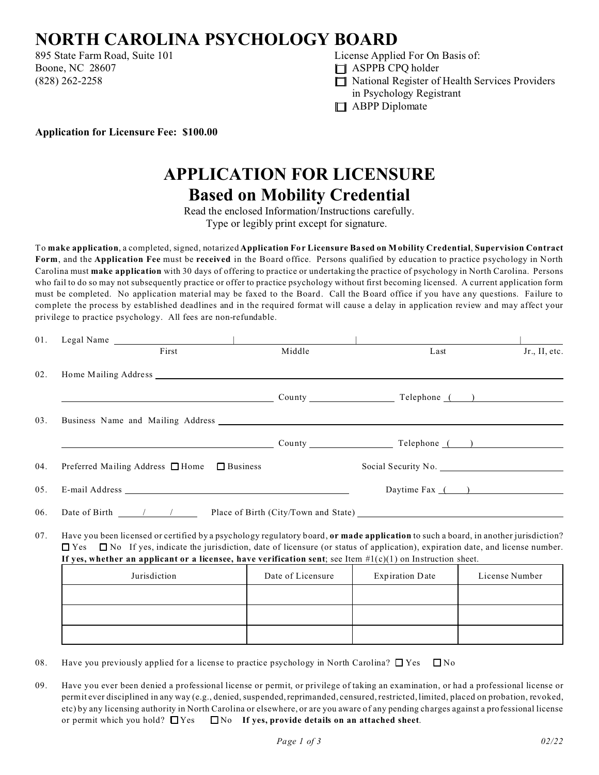

 $\Box$  $\Box$ 

 $\Box$  $\Box$ 

> $\Box$  $\Box$

 $\Box$  $\Box$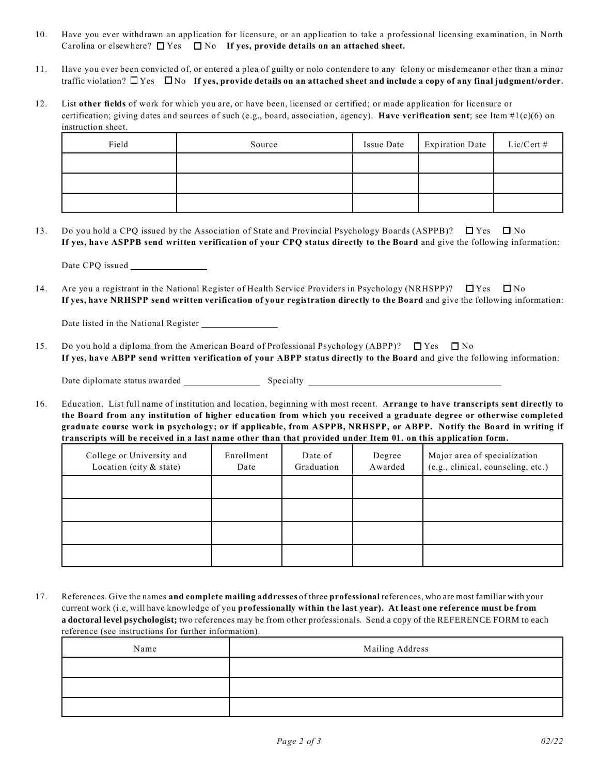$\Box$   $\Box$ 

 $\Box$  $\Box$ 

> $\Box$  $\Box$  $\Box$  $\Box$

 $\Box$  $\Box$